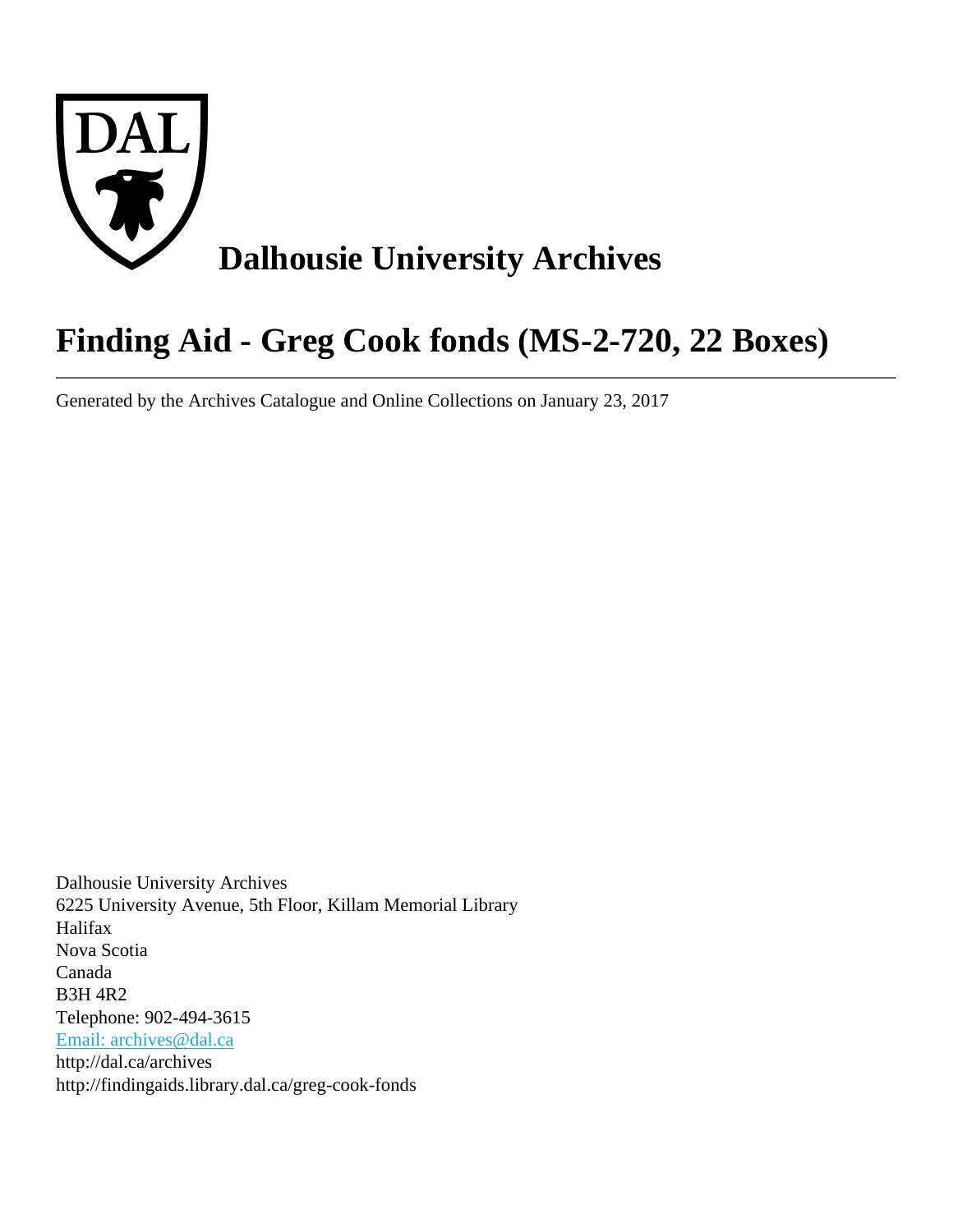

# **Finding Aid - Greg Cook fonds (MS-2-720, 22 Boxes)**

Generated by the Archives Catalogue and Online Collections on January 23, 2017

Dalhousie University Archives 6225 University Avenue, 5th Floor, Killam Memorial Library Halifax Nova Scotia Canada B3H 4R2 Telephone: 902-494-3615 [Email: archives@dal.ca](mailto:Email: archives@dal.ca) http://dal.ca/archives http://findingaids.library.dal.ca/greg-cook-fonds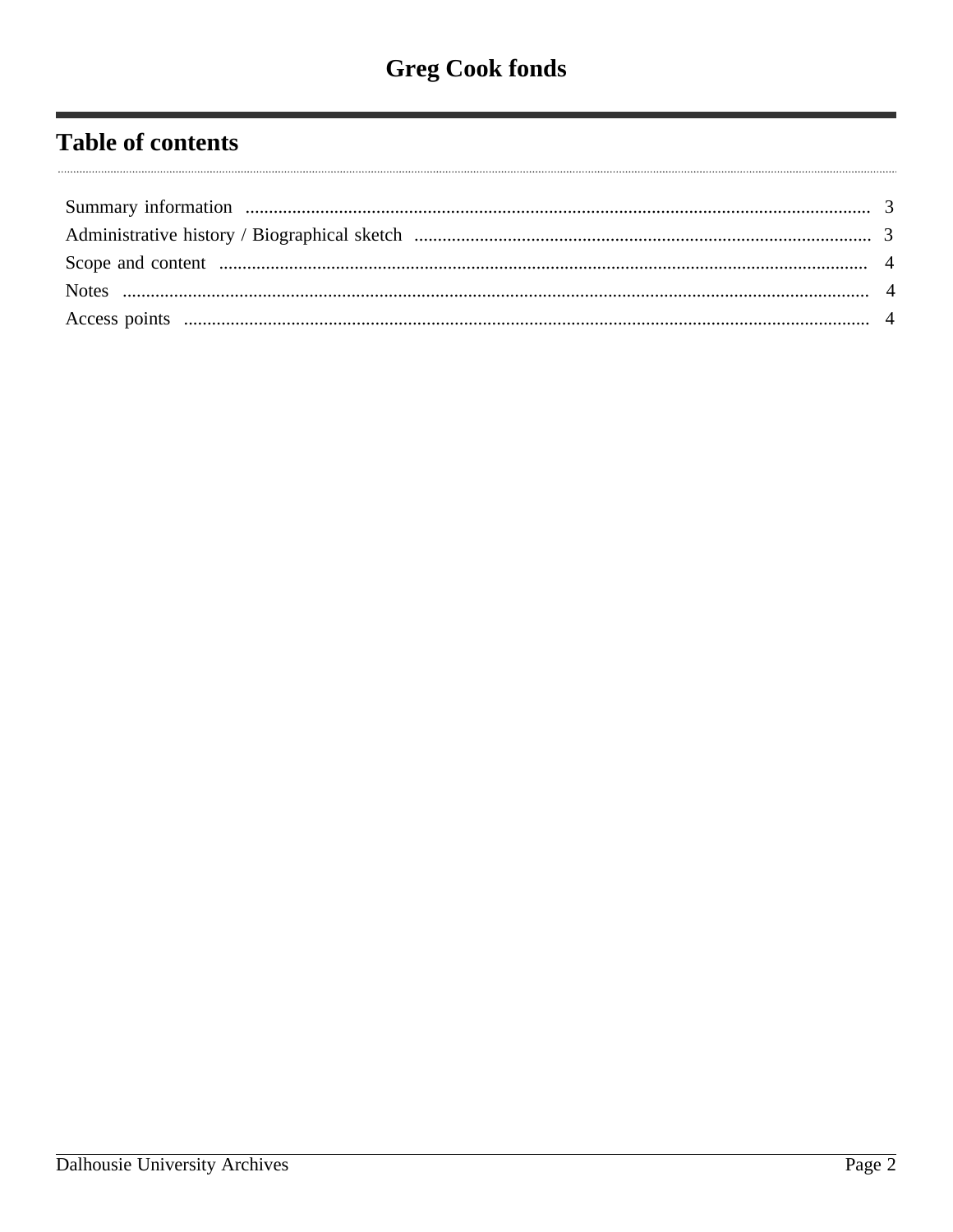# **Table of contents**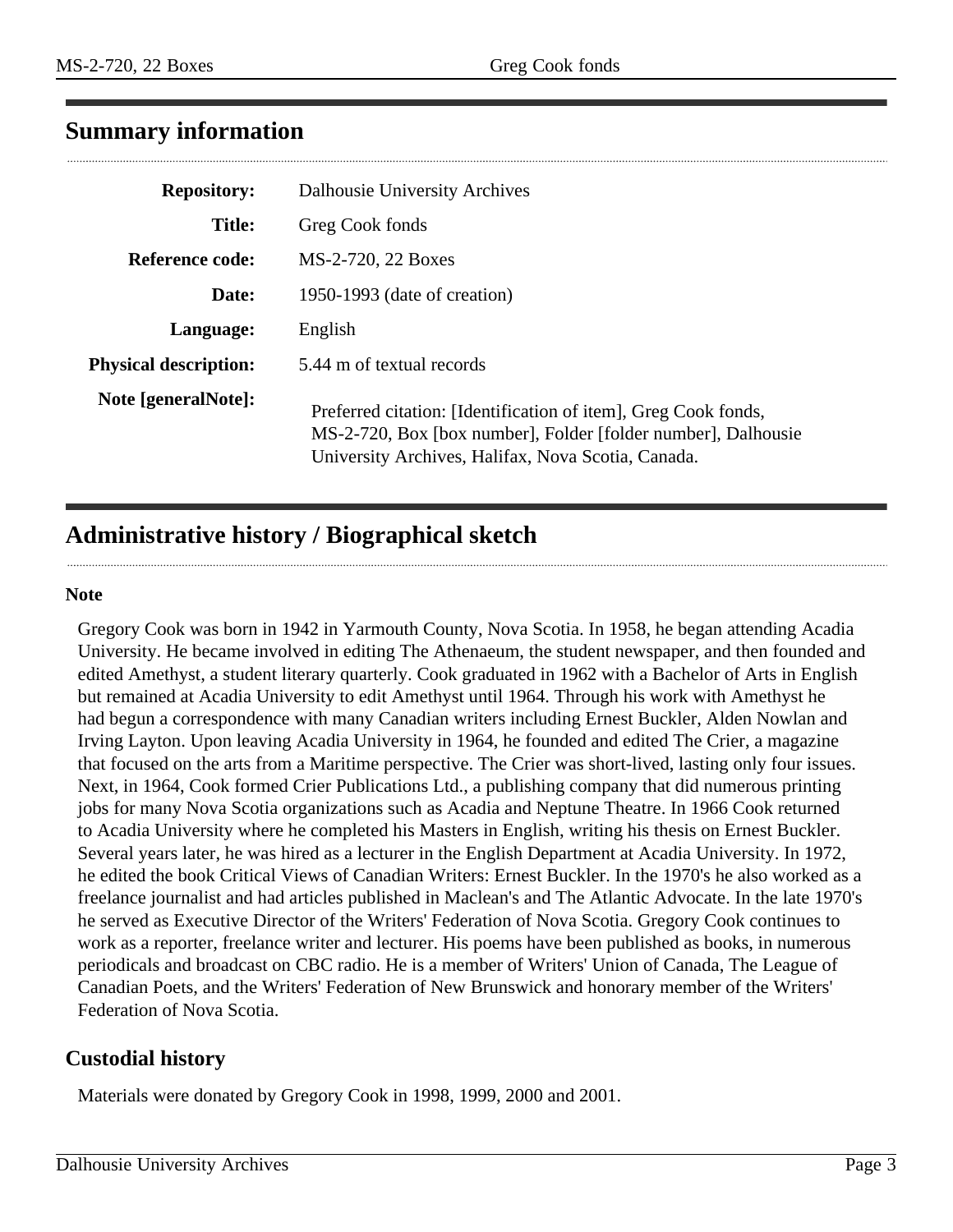## <span id="page-2-0"></span>**Summary information**

| <b>Repository:</b>           | Dalhousie University Archives                                                                                                                                                         |
|------------------------------|---------------------------------------------------------------------------------------------------------------------------------------------------------------------------------------|
| <b>Title:</b>                | Greg Cook fonds                                                                                                                                                                       |
| Reference code:              | MS-2-720, 22 Boxes                                                                                                                                                                    |
| Date:                        | 1950-1993 (date of creation)                                                                                                                                                          |
| Language:                    | English                                                                                                                                                                               |
| <b>Physical description:</b> | 5.44 m of textual records                                                                                                                                                             |
| Note [generalNote]:          | Preferred citation: [Identification of item], Greg Cook fonds,<br>MS-2-720, Box [box number], Folder [folder number], Dalhousie<br>University Archives, Halifax, Nova Scotia, Canada. |

# <span id="page-2-1"></span>**Administrative history / Biographical sketch**

#### **Note**

Gregory Cook was born in 1942 in Yarmouth County, Nova Scotia. In 1958, he began attending Acadia University. He became involved in editing The Athenaeum, the student newspaper, and then founded and edited Amethyst, a student literary quarterly. Cook graduated in 1962 with a Bachelor of Arts in English but remained at Acadia University to edit Amethyst until 1964. Through his work with Amethyst he had begun a correspondence with many Canadian writers including Ernest Buckler, Alden Nowlan and Irving Layton. Upon leaving Acadia University in 1964, he founded and edited The Crier, a magazine that focused on the arts from a Maritime perspective. The Crier was short-lived, lasting only four issues. Next, in 1964, Cook formed Crier Publications Ltd., a publishing company that did numerous printing jobs for many Nova Scotia organizations such as Acadia and Neptune Theatre. In 1966 Cook returned to Acadia University where he completed his Masters in English, writing his thesis on Ernest Buckler. Several years later, he was hired as a lecturer in the English Department at Acadia University. In 1972, he edited the book Critical Views of Canadian Writers: Ernest Buckler. In the 1970's he also worked as a freelance journalist and had articles published in Maclean's and The Atlantic Advocate. In the late 1970's he served as Executive Director of the Writers' Federation of Nova Scotia. Gregory Cook continues to work as a reporter, freelance writer and lecturer. His poems have been published as books, in numerous periodicals and broadcast on CBC radio. He is a member of Writers' Union of Canada, The League of Canadian Poets, and the Writers' Federation of New Brunswick and honorary member of the Writers' Federation of Nova Scotia.

### **Custodial history**

Materials were donated by Gregory Cook in 1998, 1999, 2000 and 2001.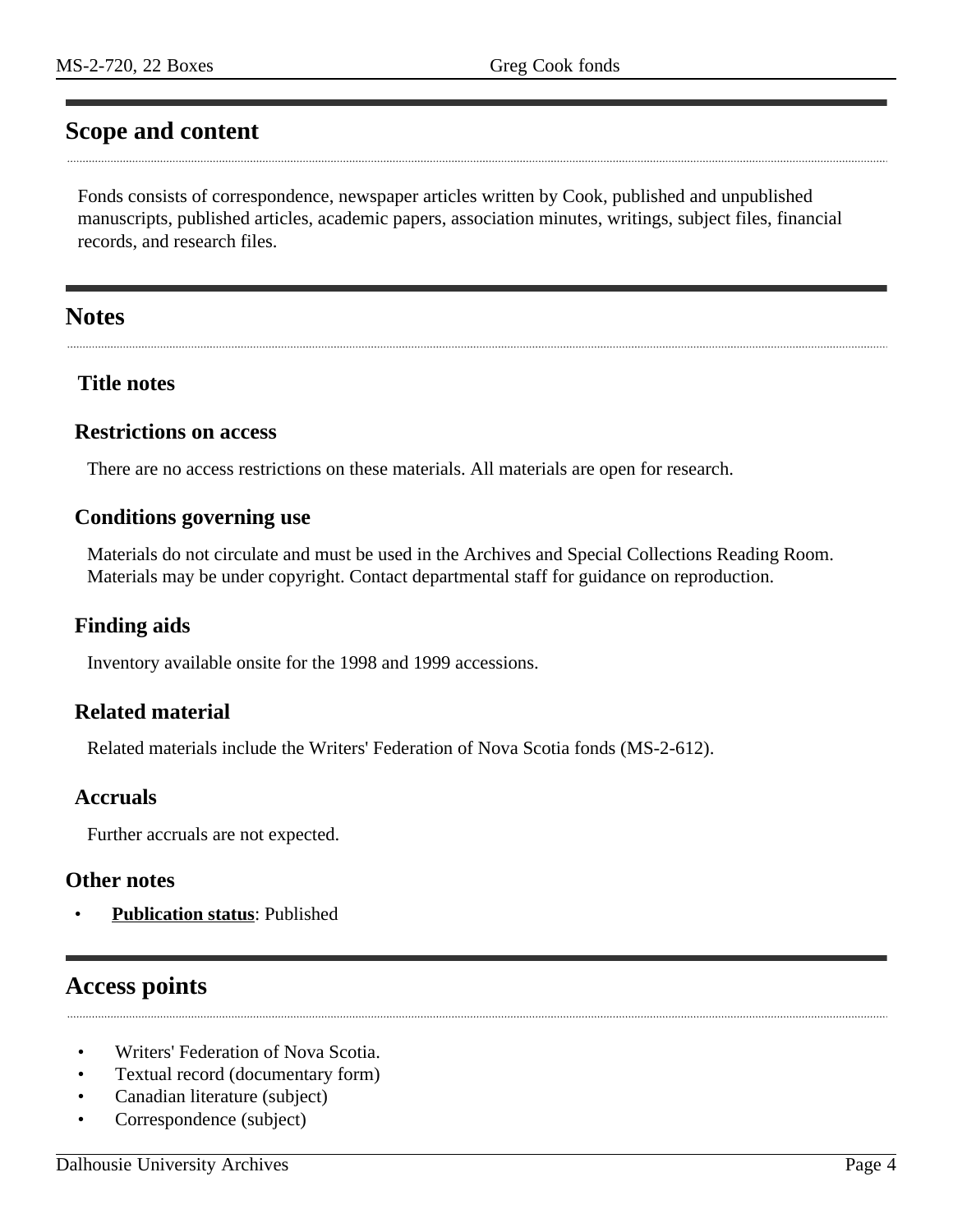## <span id="page-3-0"></span>**Scope and content**

Fonds consists of correspondence, newspaper articles written by Cook, published and unpublished manuscripts, published articles, academic papers, association minutes, writings, subject files, financial records, and research files.

#### <span id="page-3-1"></span>**Notes**

#### **Title notes**

#### **Restrictions on access**

There are no access restrictions on these materials. All materials are open for research.

#### **Conditions governing use**

Materials do not circulate and must be used in the Archives and Special Collections Reading Room. Materials may be under copyright. Contact departmental staff for guidance on reproduction.

#### **Finding aids**

Inventory available onsite for the 1998 and 1999 accessions.

#### **Related material**

Related materials include the Writers' Federation of Nova Scotia fonds (MS-2-612).

#### **Accruals**

Further accruals are not expected.

#### **Other notes**

• **Publication status**: Published

### <span id="page-3-2"></span>**Access points**

- Writers' Federation of Nova Scotia.
- Textual record (documentary form)
- Canadian literature (subject)
- Correspondence (subject)